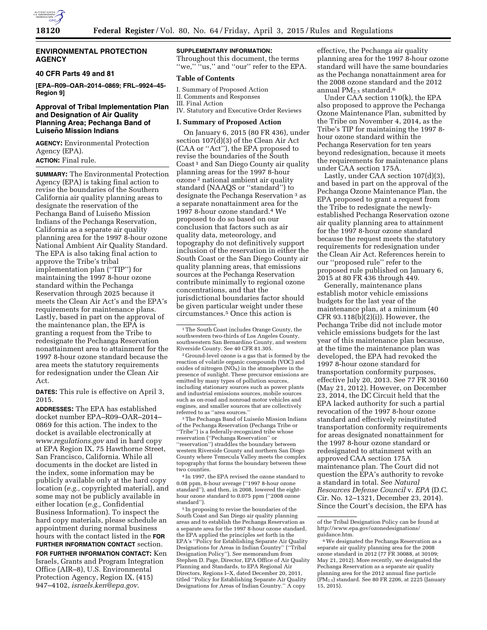

## **ENVIRONMENTAL PROTECTION AGENCY**

## **40 CFR Parts 49 and 81**

**[EPA–R09–OAR–2014–0869; FRL–9924–45- Region 9]** 

## **Approval of Tribal Implementation Plan and Designation of Air Quality Planning Area; Pechanga Band of Luisen˜o Mission Indians**

**AGENCY:** Environmental Protection Agency (EPA).

## **ACTION:** Final rule.

**SUMMARY:** The Environmental Protection Agency (EPA) is taking final action to revise the boundaries of the Southern California air quality planning areas to designate the reservation of the Pechanga Band of Luiseño Mission Indians of the Pechanga Reservation, California as a separate air quality planning area for the 1997 8-hour ozone National Ambient Air Quality Standard. The EPA is also taking final action to approve the Tribe's tribal implementation plan (''TIP'') for maintaining the 1997 8-hour ozone standard within the Pechanga Reservation through 2025 because it meets the Clean Air Act's and the EPA's requirements for maintenance plans. Lastly, based in part on the approval of the maintenance plan, the EPA is granting a request from the Tribe to redesignate the Pechanga Reservation nonattainment area to attainment for the 1997 8-hour ozone standard because the area meets the statutory requirements for redesignation under the Clean Air Act.

**DATES:** This rule is effective on April 3, 2015.

**ADDRESSES:** The EPA has established docket number EPA–R09–OAR–2014– 0869 for this action. The index to the docket is available electronically at *[www.regulations.gov](http://www.regulations.gov)* and in hard copy at EPA Region IX, 75 Hawthorne Street, San Francisco, California. While all documents in the docket are listed in the index, some information may be publicly available only at the hard copy location (*e.g.,* copyrighted material), and some may not be publicly available in either location (*e.g.,* Confidential Business Information). To inspect the hard copy materials, please schedule an appointment during normal business hours with the contact listed in the **FOR FURTHER INFORMATION CONTACT** section.

**FOR FURTHER INFORMATION CONTACT:** Ken Israels, Grants and Program Integration Office (AIR–8), U.S. Environmental Protection Agency, Region IX, (415) 947–4102, *[israels.ken@epa.gov](mailto:israels.ken@epa.gov)*.

# **SUPPLEMENTARY INFORMATION:**

Throughout this document, the terms "we," "us," and "our" refer to the EPA.

#### **Table of Contents**

I. Summary of Proposed Action II. Comments and Responses III. Final Action

IV. Statutory and Executive Order Reviews

#### **I. Summary of Proposed Action**

On January 6, 2015 (80 FR 436), under section 107(d)(3) of the Clean Air Act (CAA or ''Act''), the EPA proposed to revise the boundaries of the South Coast<sup>1</sup> and San Diego County air quality planning areas for the 1997 8-hour ozone 2 national ambient air quality standard (NAAQS or ''standard'') to designate the Pechanga Reservation 3 as a separate nonattainment area for the 1997 8-hour ozone standard.4 We proposed to do so based on our conclusion that factors such as air quality data, meteorology, and topography do not definitively support inclusion of the reservation in either the South Coast or the San Diego County air quality planning areas, that emissions sources at the Pechanga Reservation contribute minimally to regional ozone concentrations, and that the jurisdictional boundaries factor should be given particular weight under these circumstances.5 Once this action is

2 Ground-level ozone is a gas that is formed by the reaction of volatile organic compounds (VOC) and oxides of nitrogen  $(NO_X)$  in the atmosphere in the presence of sunlight. These precursor emissions are emitted by many types of pollution sources, including stationary sources such as power plants and industrial emissions sources, mobile sources such as on-road and nonroad motor vehicles and engines, and smaller sources that are collectively referred to as "area sources.

<sup>3</sup>The Pechanga Band of Luiseño Mission Indians of the Pechanga Reservation (Pechanga Tribe or ''Tribe'') is a federally-recognized tribe whose reservation (''Pechanga Reservation'' or ''reservation'') straddles the boundary between western Riverside County and northern San Diego County where Temecula Valley meets the complex topography that forms the boundary between these two counties.

4 In 1997, the EPA revised the ozone standard to 0.08 ppm, 8-hour average (''1997 8-hour ozone standard''), and then, in 2008, lowered the eighthour ozone standard to 0.075 ppm (''2008 ozone standard'').

5 In proposing to revise the boundaries of the South Coast and San Diego air quality planning areas and to establish the Pechanga Reservation as a separate area for the 1997 8-hour ozone standard, the EPA applied the principles set forth in the EPA's ''Policy for Establishing Separate Air Quality Designations for Areas in Indian Country'' (''Tribal Designation Policy''). See memorandum from Stephen D. Page, Director, EPA Office of Air Quality Planning and Standards, to EPA Regional Air Directors, Regions I–X, dated December 20, 2011, titled ''Policy for Establishing Separate Air Quality Designations for Areas of Indian Country.'' A copy

effective, the Pechanga air quality planning area for the 1997 8-hour ozone standard will have the same boundaries as the Pechanga nonattainment area for the 2008 ozone standard and the 2012 annual  $PM_{2.5}$  standard.<sup>6</sup>

Under CAA section 110(k), the EPA also proposed to approve the Pechanga Ozone Maintenance Plan, submitted by the Tribe on November 4, 2014, as the Tribe's TIP for maintaining the 1997 8 hour ozone standard within the Pechanga Reservation for ten years beyond redesignation, because it meets the requirements for maintenance plans under CAA section 175A.

Lastly, under CAA section 107(d)(3), and based in part on the approval of the Pechanga Ozone Maintenance Plan, the EPA proposed to grant a request from the Tribe to redesignate the newlyestablished Pechanga Reservation ozone air quality planning area to attainment for the 1997 8-hour ozone standard because the request meets the statutory requirements for redesignation under the Clean Air Act. References herein to our ''proposed rule'' refer to the proposed rule published on January 6, 2015 at 80 FR 436 through 449.

Generally, maintenance plans establish motor vehicle emissions budgets for the last year of the maintenance plan, at a minimum (40 CFR 93.118(b)(2)(i)). However, the Pechanga Tribe did not include motor vehicle emissions budgets for the last year of this maintenance plan because, at the time the maintenance plan was developed, the EPA had revoked the 1997 8-hour ozone standard for transportation conformity purposes, effective July 20, 2013. See 77 FR 30160 (May 21, 2012). However, on December 23, 2014, the DC Circuit held that the EPA lacked authority for such a partial revocation of the 1997 8-hour ozone standard and effectively reinstituted transportation conformity requirements for areas designated nonattainment for the 1997 8-hour ozone standard or redesignated to attainment with an approved CAA section 175A maintenance plan. The Court did not question the EPA's authority to revoke a standard in total. See *Natural Resources Defense Council* v. *EPA* (D.C. Cir. No. 12–1321, December 23, 2014). Since the Court's decision, the EPA has

<sup>&</sup>lt;sup>1</sup>The South Coast includes Orange County, the southwestern two-thirds of Los Angeles County, southwestern San Bernardino County, and western Riverside County. See 40 CFR 81.305.

of the Tribal Designation Policy can be found at [http://www.epa.gov/ozonedesignations/](http://www.epa.gov/ozonedesignations/guidance.htm) guidance.htm.

<sup>6</sup>We designated the Pechanga Reservation as a separate air quality planning area for the 2008 ozone standard in 2012 (77 FR 30088, at 30109; May 21, 2012). More recently, we designated the Pechanga Reservation as a separate air quality planning area for the 2012 annual fine particle  $(PM<sub>2.5</sub>)$  standard. See 80 FR 2206, at 2225 (January 15, 2015).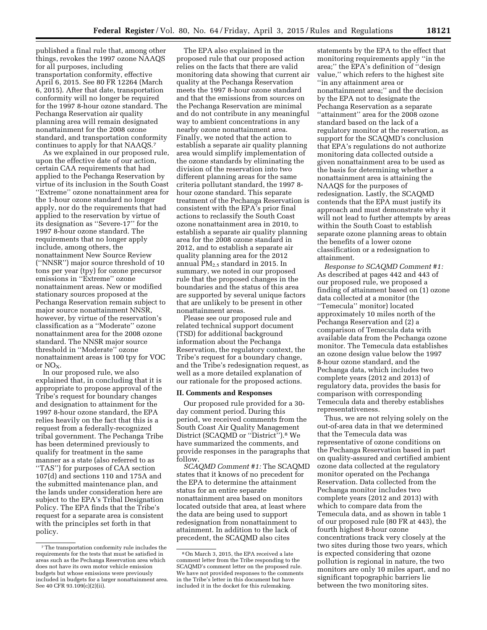published a final rule that, among other things, revokes the 1997 ozone NAAQS for all purposes, including transportation conformity, effective April 6, 2015. See 80 FR 12264 (March 6, 2015). After that date, transportation conformity will no longer be required for the 1997 8-hour ozone standard. The Pechanga Reservation air quality planning area will remain designated nonattainment for the 2008 ozone standard, and transportation conformity continues to apply for that NAAQS.7

As we explained in our proposed rule, upon the effective date of our action, certain CAA requirements that had applied to the Pechanga Reservation by virtue of its inclusion in the South Coast ''Extreme'' ozone nonattainment area for the 1-hour ozone standard no longer apply, nor do the requirements that had applied to the reservation by virtue of its designation as ''Severe-17'' for the 1997 8-hour ozone standard. The requirements that no longer apply include, among others, the nonattainment New Source Review (''NNSR'') major source threshold of 10 tons per year (tpy) for ozone precursor emissions in ''Extreme'' ozone nonattainment areas. New or modified stationary sources proposed at the Pechanga Reservation remain subject to major source nonattainment NNSR, however, by virtue of the reservation's classification as a ''Moderate'' ozone nonattainment area for the 2008 ozone standard. The NNSR major source threshold in ''Moderate'' ozone nonattainment areas is 100 tpy for VOC or  $NO<sub>x</sub>$ .

In our proposed rule, we also explained that, in concluding that it is appropriate to propose approval of the Tribe's request for boundary changes and designation to attainment for the 1997 8-hour ozone standard, the EPA relies heavily on the fact that this is a request from a federally-recognized tribal government. The Pechanga Tribe has been determined previously to qualify for treatment in the same manner as a state (also referred to as ''TAS'') for purposes of CAA section 107(d) and sections 110 and 175A and the submitted maintenance plan, and the lands under consideration here are subject to the EPA's Tribal Designation Policy. The EPA finds that the Tribe's request for a separate area is consistent with the principles set forth in that policy.

The EPA also explained in the proposed rule that our proposed action relies on the facts that there are valid monitoring data showing that current air quality at the Pechanga Reservation meets the 1997 8-hour ozone standard and that the emissions from sources on the Pechanga Reservation are minimal and do not contribute in any meaningful way to ambient concentrations in any nearby ozone nonattainment area. Finally, we noted that the action to establish a separate air quality planning area would simplify implementation of the ozone standards by eliminating the division of the reservation into two different planning areas for the same criteria pollutant standard, the 1997 8 hour ozone standard. This separate treatment of the Pechanga Reservation is consistent with the EPA's prior final actions to reclassify the South Coast ozone nonattainment area in 2010, to establish a separate air quality planning area for the 2008 ozone standard in 2012, and to establish a separate air quality planning area for the 2012 annual  $PM_{2.5}$  standard in 2015. In summary, we noted in our proposed rule that the proposed changes in the boundaries and the status of this area are supported by several unique factors that are unlikely to be present in other nonattainment areas.

Please see our proposed rule and related technical support document (TSD) for additional background information about the Pechanga Reservation, the regulatory context, the Tribe's request for a boundary change, and the Tribe's redesignation request, as well as a more detailed explanation of our rationale for the proposed actions.

#### **II. Comments and Responses**

Our proposed rule provided for a 30 day comment period. During this period, we received comments from the South Coast Air Quality Management District (SCAQMD or ''District'').8 We have summarized the comments, and provide responses in the paragraphs that follow.

*SCAQMD Comment #1:* The SCAQMD states that it knows of no precedent for the EPA to determine the attainment status for an entire separate nonattainment area based on monitors located outside that area, at least where the data are being used to support redesignation from nonattainment to attainment. In addition to the lack of precedent, the SCAQMD also cites

statements by the EPA to the effect that monitoring requirements apply ''in the area;'' the EPA's definition of ''design value,'' which refers to the highest site ''in any attainment area or nonattainment area;'' and the decision by the EPA not to designate the Pechanga Reservation as a separate ''attainment'' area for the 2008 ozone standard based on the lack of a regulatory monitor at the reservation, as support for the SCAQMD's conclusion that EPA's regulations do not authorize monitoring data collected outside a given nonattainment area to be used as the basis for determining whether a nonattainment area is attaining the NAAQS for the purposes of redesignation. Lastly, the SCAQMD contends that the EPA must justify its approach and must demonstrate why it will not lead to further attempts by areas within the South Coast to establish separate ozone planning areas to obtain the benefits of a lower ozone classification or a redesignation to attainment.

*Response to SCAQMD Comment #1:*  As described at pages 442 and 443 of our proposed rule, we proposed a finding of attainment based on (1) ozone data collected at a monitor (the ''Temecula'' monitor) located approximately 10 miles north of the Pechanga Reservation and (2) a comparison of Temecula data with available data from the Pechanga ozone monitor. The Temecula data establishes an ozone design value below the 1997 8-hour ozone standard, and the Pechanga data, which includes two complete years (2012 and 2013) of regulatory data, provides the basis for comparison with corresponding Temecula data and thereby establishes representativeness.

Thus, we are not relying solely on the out-of-area data in that we determined that the Temecula data was representative of ozone conditions on the Pechanga Reservation based in part on quality-assured and certified ambient ozone data collected at the regulatory monitor operated on the Pechanga Reservation. Data collected from the Pechanga monitor includes two complete years (2012 and 2013) with which to compare data from the Temecula data, and as shown in table 1 of our proposed rule (80 FR at 443), the fourth highest 8-hour ozone concentrations track very closely at the two sites during those two years, which is expected considering that ozone pollution is regional in nature, the two monitors are only 10 miles apart, and no significant topographic barriers lie between the two monitoring sites.

<sup>7</sup>The transportation conformity rule includes the requirements for the tests that must be satisfied in areas such as the Pechanga Reservation area which does not have its own motor vehicle emission budgets but whose emissions were previously included in budgets for a larger nonattainment area. See 40 CFR 93.109(c)(2)(ii).

<sup>8</sup>On March 3, 2015, the EPA received a late comment letter from the Tribe responding to the SCAQMD's comment letter on the proposed rule. We have not provided responses to the comments in the Tribe's letter in this document but have included it in the docket for this rulemaking.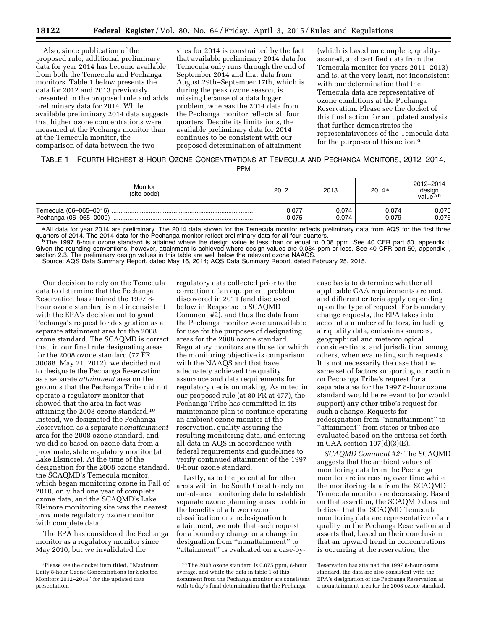Also, since publication of the proposed rule, additional preliminary data for year 2014 has become available from both the Temecula and Pechanga monitors. Table 1 below presents the data for 2012 and 2013 previously presented in the proposed rule and adds preliminary data for 2014. While available preliminary 2014 data suggests that higher ozone concentrations were measured at the Pechanga monitor than at the Temecula monitor, the comparison of data between the two

sites for 2014 is constrained by the fact that available preliminary 2014 data for Temecula only runs through the end of September 2014 and that data from August 29th–September 17th, which is during the peak ozone season, is missing because of a data logger problem, whereas the 2014 data from the Pechanga monitor reflects all four quarters. Despite its limitations, the available preliminary data for 2014 continues to be consistent with our proposed determination of attainment

(which is based on complete, qualityassured, and certified data from the Temecula monitor for years 2011–2013) and is, at the very least, not inconsistent with our determination that the Temecula data are representative of ozone conditions at the Pechanga Reservation. Please see the docket of this final action for an updated analysis that further demonstrates the representativeness of the Temecula data for the purposes of this action.9

# TABLE 1—FOURTH HIGHEST 8-HOUR OZONE CONCENTRATIONS AT TEMECULA AND PECHANGA MONITORS, 2012–2014,

PPM

| Monitor<br>(site code) | 2012           | 2013           | 2014a          | 2012-2014<br>design<br>value <sup>ab</sup> |
|------------------------|----------------|----------------|----------------|--------------------------------------------|
| Pechanga (06-065-0009) | 0.077<br>0.075 | 0.074<br>0.074 | 0.074<br>0.079 | 0.075<br>0.076                             |

<sup>a</sup> All data for year 2014 are preliminary. The 2014 data shown for the Temecula monitor reflects preliminary data from AQS for the first three quarters of 2014. The 2014 data for the Pechanga monitor reflect preliminary d quarters of 2014. The 2014 data for the Pechanga monitor reflect preliminary data for all four quarters.<br>The 1997 8-hour ozone standard is attained where the design value is less than or equal to 0.08 ppm. See 40 CFR part

Given the rounding conventions, however, attainment is achieved where design values are 0.084 ppm or less. See 40 CFR part 50, appendix I, section 2.3. The preliminary design values in this table are well below the relevant ozone NAAQS.

Source: AQS Data Summary Report, dated May 16, 2014; AQS Data Summary Report, dated February 25, 2015.

Our decision to rely on the Temecula data to determine that the Pechanga Reservation has attained the 1997 8 hour ozone standard is not inconsistent with the EPA's decision not to grant Pechanga's request for designation as a separate attainment area for the 2008 ozone standard. The SCAQMD is correct that, in our final rule designating areas for the 2008 ozone standard (77 FR 30088, May 21, 2012), we decided not to designate the Pechanga Reservation as a separate *attainment* area on the grounds that the Pechanga Tribe did not operate a regulatory monitor that showed that the area in fact was attaining the 2008 ozone standard.10 Instead, we designated the Pechanga Reservation as a separate *nonattainment*  area for the 2008 ozone standard, and we did so based on ozone data from a proximate, state regulatory monitor (at Lake Elsinore). At the time of the designation for the 2008 ozone standard, the SCAQMD's Temecula monitor, which began monitoring ozone in Fall of 2010, only had one year of complete ozone data, and the SCAQMD's Lake Elsinore monitoring site was the nearest proximate regulatory ozone monitor with complete data.

The EPA has considered the Pechanga monitor as a regulatory monitor since May 2010, but we invalidated the

regulatory data collected prior to the correction of an equipment problem discovered in 2011 (and discussed below in Response to SCAQMD Comment #2), and thus the data from the Pechanga monitor were unavailable for use for the purposes of designating areas for the 2008 ozone standard. Regulatory monitors are those for which the monitoring objective is comparison with the NAAQS and that have adequately achieved the quality assurance and data requirements for regulatory decision making. As noted in our proposed rule (at 80 FR at 477), the Pechanga Tribe has committed in its maintenance plan to continue operating an ambient ozone monitor at the reservation, quality assuring the resulting monitoring data, and entering all data in AQS in accordance with federal requirements and guidelines to verify continued attainment of the 1997 8-hour ozone standard.

Lastly, as to the potential for other areas within the South Coast to rely on out-of-area monitoring data to establish separate ozone planning areas to obtain the benefits of a lower ozone classification or a redesignation to attainment, we note that each request for a boundary change or a change in designation from ''nonattainment'' to ''attainment'' is evaluated on a case-by-

case basis to determine whether all applicable CAA requirements are met, and different criteria apply depending upon the type of request. For boundary change requests, the EPA takes into account a number of factors, including air quality data, emissions sources, geographical and meteorological considerations, and jurisdiction, among others, when evaluating such requests. It is not necessarily the case that the same set of factors supporting our action on Pechanga Tribe's request for a separate area for the 1997 8-hour ozone standard would be relevant to (or would support) any other tribe's request for such a change. Requests for redesignation from ''nonattainment'' to ''attainment'' from states or tribes are evaluated based on the criteria set forth in CAA section 107(d)(3)(E).

*SCAQMD Comment #2:* The SCAQMD suggests that the ambient values of monitoring data from the Pechanga monitor are increasing over time while the monitoring data from the SCAQMD Temecula monitor are decreasing. Based on that assertion, the SCAQMD does not believe that the SCAQMD Temecula monitoring data are representative of air quality on the Pechanga Reservation and asserts that, based on their conclusion that an upward trend in concentrations is occurring at the reservation, the

<sup>9</sup>Please see the docket item titled, ''Maximum Daily 8-hour Ozone Concentrations for Selected Monitors 2012–2014'' for the updated data presentation.

<sup>10</sup>The 2008 ozone standard is 0.075 ppm, 8-hour average, and while the data in table 1 of this document from the Pechanga monitor are consistent with today's final determination that the Pechanga

Reservation has attained the 1997 8-hour ozone standard, the data are also consistent with the EPA's designation of the Pechanga Reservation as a nonattainment area for the 2008 ozone standard.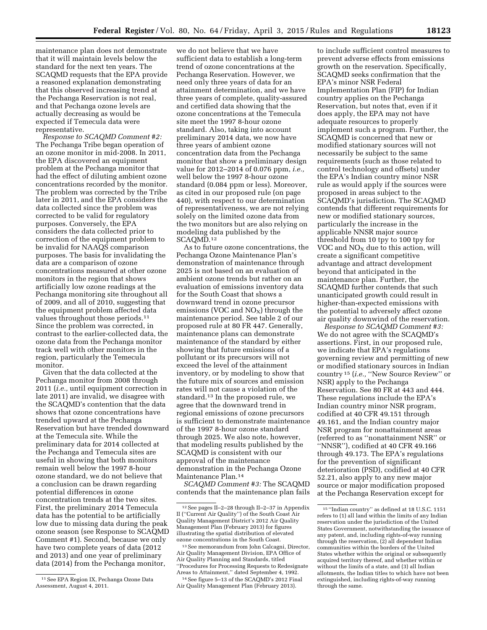maintenance plan does not demonstrate that it will maintain levels below the standard for the next ten years. The SCAQMD requests that the EPA provide a reasoned explanation demonstrating that this observed increasing trend at the Pechanga Reservation is not real, and that Pechanga ozone levels are actually decreasing as would be expected if Temecula data were representative.

*Response to SCAQMD Comment #2:*  The Pechanga Tribe began operation of an ozone monitor in mid-2008. In 2011, the EPA discovered an equipment problem at the Pechanga monitor that had the effect of diluting ambient ozone concentrations recorded by the monitor. The problem was corrected by the Tribe later in 2011, and the EPA considers the data collected since the problem was corrected to be valid for regulatory purposes. Conversely, the EPA considers the data collected prior to correction of the equipment problem to be invalid for NAAQS comparison purposes. The basis for invalidating the data are a comparison of ozone concentrations measured at other ozone monitors in the region that shows artificially low ozone readings at the Pechanga monitoring site throughout all of 2009, and all of 2010, suggesting that the equipment problem affected data values throughout those periods.11 Since the problem was corrected, in contrast to the earlier-collected data, the ozone data from the Pechanga monitor track well with other monitors in the region, particularly the Temecula monitor.

Given that the data collected at the Pechanga monitor from 2008 through 2011 (*i.e.,* until equipment correction in late 2011) are invalid, we disagree with the SCAQMD's contention that the data shows that ozone concentrations have trended upward at the Pechanga Reservation but have trended downward at the Temecula site. While the preliminary data for 2014 collected at the Pechanga and Temecula sites are useful in showing that both monitors remain well below the 1997 8-hour ozone standard, we do not believe that a conclusion can be drawn regarding potential differences in ozone concentration trends at the two sites. First, the preliminary 2014 Temecula data has the potential to be artificially low due to missing data during the peak ozone season (see Response to SCAQMD Comment #1). Second, because we only have two complete years of data (2012 and 2013) and one year of preliminary data (2014) from the Pechanga monitor,

we do not believe that we have sufficient data to establish a long-term trend of ozone concentrations at the Pechanga Reservation. However, we need only three years of data for an attainment determination, and we have three years of complete, quality-assured and certified data showing that the ozone concentrations at the Temecula site meet the 1997 8-hour ozone standard. Also, taking into account preliminary 2014 data, we now have three years of ambient ozone concentration data from the Pechanga monitor that show a preliminary design value for 2012–2014 of 0.076 ppm, *i.e.,*  well below the 1997 8-hour ozone standard (0.084 ppm or less). Moreover, as cited in our proposed rule (on page 440), with respect to our determination of representativeness, we are not relying solely on the limited ozone data from the two monitors but are also relying on modeling data published by the SCAQMD.<sup>12</sup>

As to future ozone concentrations, the Pechanga Ozone Maintenance Plan's demonstration of maintenance through 2025 is not based on an evaluation of ambient ozone trends but rather on an evaluation of emissions inventory data for the South Coast that shows a downward trend in ozone precursor emissions (VOC and  $NO<sub>X</sub>$ ) through the maintenance period. See table 2 of our proposed rule at 80 FR 447. Generally, maintenance plans can demonstrate maintenance of the standard by either showing that future emissions of a pollutant or its precursors will not exceed the level of the attainment inventory, or by modeling to show that the future mix of sources and emission rates will not cause a violation of the standard.13 In the proposed rule, we agree that the downward trend in regional emissions of ozone precursors is sufficient to demonstrate maintenance of the 1997 8-hour ozone standard through 2025. We also note, however, that modeling results published by the SCAQMD is consistent with our approval of the maintenance demonstration in the Pechanga Ozone Maintenance Plan.14

*SCAQMD Comment #3:* The SCAQMD contends that the maintenance plan fails

to include sufficient control measures to prevent adverse effects from emissions growth on the reservation. Specifically, SCAQMD seeks confirmation that the EPA's minor NSR Federal Implementation Plan (FIP) for Indian country applies on the Pechanga Reservation, but notes that, even if it does apply, the EPA may not have adequate resources to properly implement such a program. Further, the SCAQMD is concerned that new or modified stationary sources will not necessarily be subject to the same requirements (such as those related to control technology and offsets) under the EPA's Indian country minor NSR rule as would apply if the sources were proposed in areas subject to the SCAQMD's jurisdiction. The SCAQMD contends that different requirements for new or modified stationary sources, particularly the increase in the applicable NNSR major source threshold from 10 tpy to 100 tpy for VOC and  $NO<sub>X</sub>$  due to this action, will create a significant competitive advantage and attract development beyond that anticipated in the maintenance plan. Further, the SCAQMD further contends that such unanticipated growth could result in higher-than-expected emissions with the potential to adversely affect ozone air quality downwind of the reservation.

*Response to SCAQMD Comment #3:*  We do not agree with the SCAQMD's assertions. First, in our proposed rule, we indicate that EPA's regulations governing review and permitting of new or modified stationary sources in Indian country 15 (*i.e.,* ''New Source Review'' or NSR) apply to the Pechanga Reservation. See 80 FR at 443 and 444. These regulations include the EPA's Indian country minor NSR program, codified at 40 CFR 49.151 through 49.161, and the Indian country major NSR program for nonattainment areas (referred to as ''nonattainment NSR'' or ''NNSR''), codified at 40 CFR 49.166 through 49.173. The EPA's regulations for the prevention of significant deterioration (PSD), codified at 40 CFR 52.21, also apply to any new major source or major modification proposed at the Pechanga Reservation except for

<sup>11</sup>See EPA Region IX, Pechanga Ozone Data Assessment, August 4, 2011.

<sup>12</sup>See pages II–2–28 through II–2–37 in Appendix II (''Current Air Quality'') of the South Coast Air Quality Management District's 2012 Air Quality Management Plan (February 2013) for figures illustrating the spatial distribution of elevated ozone concentrations in the South Coast.

<sup>13</sup>See memorandum from John Calcagni, Director, Air Quality Management Division, EPA Office of Air Quality Planning and Standards, titled ''Procedures for Processing Requests to Redesignate Areas to Attainment,'' dated September 4, 1992.

<sup>14</sup>See figure 5–13 of the SCAQMD's 2012 Final Air Quality Management Plan (February 2013).

<sup>15</sup> ''Indian country'' as defined at 18 U.S.C. 1151 refers to (1) all land within the limits of any Indian reservation under the jurisdiction of the United States Government, notwithstanding the issuance of any patent, and, including rights-of-way running through the reservation, (2) all dependent Indian communities within the borders of the United States whether within the original or subsequently acquired territory thereof, and whether within or without the limits of a state, and (3) all Indian allotments, the Indian titles to which have not been extinguished, including rights-of-way running through the same.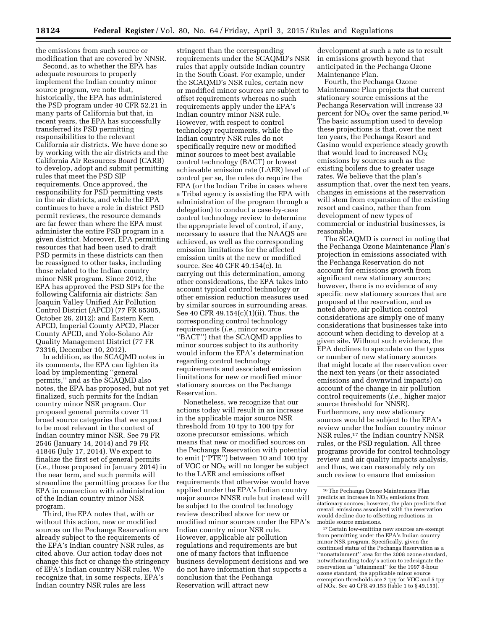the emissions from such source or modification that are covered by NNSR.

Second, as to whether the EPA has adequate resources to properly implement the Indian country minor source program, we note that, historically, the EPA has administered the PSD program under 40 CFR 52.21 in many parts of California but that, in recent years, the EPA has successfully transferred its PSD permitting responsibilities to the relevant California air districts. We have done so by working with the air districts and the California Air Resources Board (CARB) to develop, adopt and submit permitting rules that meet the PSD SIP requirements. Once approved, the responsibility for PSD permitting vests in the air districts, and while the EPA continues to have a role in district PSD permit reviews, the resource demands are far fewer than where the EPA must administer the entire PSD program in a given district. Moreover, EPA permitting resources that had been used to draft PSD permits in these districts can then be reassigned to other tasks, including those related to the Indian country minor NSR program. Since 2012, the EPA has approved the PSD SIPs for the following California air districts: San Joaquin Valley Unified Air Pollution Control District (APCD) (77 FR 65305, October 26, 2012); and Eastern Kern APCD, Imperial County APCD, Placer County APCD, and Yolo-Solano Air Quality Management District (77 FR 73316, December 10, 2012).

In addition, as the SCAQMD notes in its comments, the EPA can lighten its load by implementing ''general permits,'' and as the SCAQMD also notes, the EPA has proposed, but not yet finalized, such permits for the Indian country minor NSR program. Our proposed general permits cover 11 broad source categories that we expect to be most relevant in the context of Indian country minor NSR. See 79 FR 2546 (January 14, 2014) and 79 FR 41846 (July 17, 2014). We expect to finalize the first set of general permits (*i.e.,* those proposed in January 2014) in the near term, and such permits will streamline the permitting process for the EPA in connection with administration of the Indian country minor NSR program.

Third, the EPA notes that, with or without this action, new or modified sources on the Pechanga Reservation are already subject to the requirements of the EPA's Indian country NSR rules, as cited above. Our action today does not change this fact or change the stringency of EPA's Indian country NSR rules. We recognize that, in some respects, EPA's Indian country NSR rules are less

stringent than the corresponding requirements under the SCAQMD's NSR rules that apply outside Indian country in the South Coast. For example, under the SCAQMD's NSR rules, certain new or modified minor sources are subject to offset requirements whereas no such requirements apply under the EPA's Indian country minor NSR rule. However, with respect to control technology requirements, while the Indian country NSR rules do not specifically require new or modified minor sources to meet best available control technology (BACT) or lowest achievable emission rate (LAER) level of control per se, the rules do require the EPA (or the Indian Tribe in cases where a Tribal agency is assisting the EPA with administration of the program through a delegation) to conduct a case-by-case control technology review to determine the appropriate level of control, if any, necessary to assure that the NAAQS are achieved, as well as the corresponding emission limitations for the affected emission units at the new or modified source. See 40 CFR 49.154(c). In carrying out this determination, among other considerations, the EPA takes into account typical control technology or other emission reduction measures used by similar sources in surrounding areas. See 40 CFR 49.154(c)(1)(ii). Thus, the corresponding control technology requirements (*i.e.,* minor source ''BACT'') that the SCAQMD applies to minor sources subject to its authority would inform the EPA's determination regarding control technology requirements and associated emission limitations for new or modified minor stationary sources on the Pechanga Reservation.

Nonetheless, we recognize that our actions today will result in an increase in the applicable major source NSR threshold from 10 tpy to 100 tpy for ozone precursor emissions, which means that new or modified sources on the Pechanga Reservation with potential to emit (''PTE'') between 10 and 100 tpy of VOC or  $NO<sub>x</sub>$  will no longer be subject to the LAER and emissions offset requirements that otherwise would have applied under the EPA's Indian country major source NNSR rule but instead will be subject to the control technology review described above for new or modified minor sources under the EPA's Indian country minor NSR rule. However, applicable air pollution regulations and requirements are but one of many factors that influence business development decisions and we do not have information that supports a conclusion that the Pechanga Reservation will attract new

development at such a rate as to result in emissions growth beyond that anticipated in the Pechanga Ozone Maintenance Plan.

Fourth, the Pechanga Ozone Maintenance Plan projects that current stationary source emissions at the Pechanga Reservation will increase 33 percent for  $NO<sub>X</sub>$  over the same period.<sup>16</sup> The basic assumption used to develop these projections is that, over the next ten years, the Pechanga Resort and Casino would experience steady growth that would lead to increased  $NO<sub>X</sub>$ emissions by sources such as the existing boilers due to greater usage rates. We believe that the plan's assumption that, over the next ten years, changes in emissions at the reservation will stem from expansion of the existing resort and casino, rather than from development of new types of commercial or industrial businesses, is reasonable.

The SCAQMD is correct in noting that the Pechanga Ozone Maintenance Plan's projection in emissions associated with the Pechanga Reservation do not account for emissions growth from significant new stationary sources; however, there is no evidence of any specific new stationary sources that are proposed at the reservation, and as noted above, air pollution control considerations are simply one of many considerations that businesses take into account when deciding to develop at a given site. Without such evidence, the EPA declines to speculate on the types or number of new stationary sources that might locate at the reservation over the next ten years (or their associated emissions and downwind impacts) on account of the change in air pollution control requirements (*i.e.,* higher major source threshold for NNSR). Furthermore, any new stationary sources would be subject to the EPA's review under the Indian country minor NSR rules,<sup>17</sup> the Indian country NNSR rules, or the PSD regulation. All three programs provide for control technology review and air quality impacts analysis, and thus, we can reasonably rely on such review to ensure that emission

<sup>16</sup>The Pechanga Ozone Maintenance Plan predicts an increase in  $\rm{NO_{X}}$  emissions from stationary sources; however, the plan predicts that overall emissions associated with the reservation would decline due to offsetting reductions in mobile source emissions.

<sup>17</sup>Certain low-emitting new sources are exempt from permitting under the EPA's Indian country minor NSR program. Specifically, given the continued status of the Pechanga Reservation as a ''nonattainment'' area for the 2008 ozone standard, notwithstanding today's action to redesignate the reservation as ''attainment'' for the 1997 8-hour ozone standard, the applicable minor source exemption thresholds are 2 tpy for VOC and 5 tpy of  $\overline{NO}_X$ . See 40 CFR 49.153 (table 1 to § 49.153).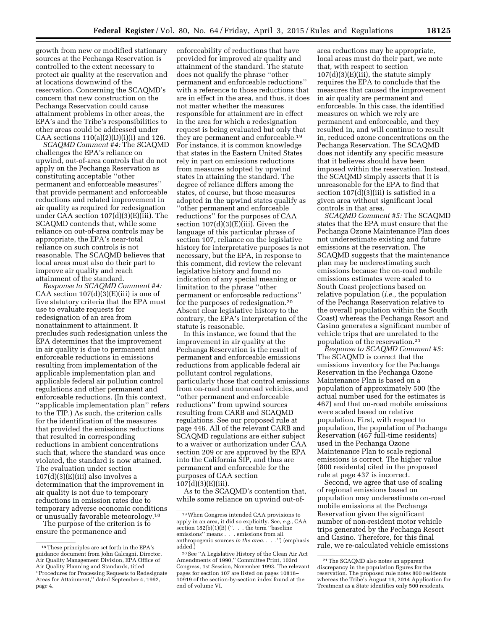growth from new or modified stationary sources at the Pechanga Reservation is controlled to the extent necessary to protect air quality at the reservation and at locations downwind of the reservation. Concerning the SCAQMD's concern that new construction on the Pechanga Reservation could cause attainment problems in other areas, the EPA's and the Tribe's responsibilities to other areas could be addressed under CAA sections  $110(a)(2)(D)(i)(I)$  and  $126$ .

*SCAQMD Comment #4:* The SCAQMD challenges the EPA's reliance on upwind, out-of-area controls that do not apply on the Pechanga Reservation as constituting acceptable ''other permanent and enforceable measures'' that provide permanent and enforceable reductions and related improvement in air quality as required for redesignation under CAA section 107(d)(3)(E)(iii). The SCAQMD contends that, while some reliance on out-of-area controls may be appropriate, the EPA's near-total reliance on such controls is not reasonable. The SCAQMD believes that local areas must also do their part to improve air quality and reach attainment of the standard.

*Response to SCAQMD Comment #4:*  CAA section  $107(d)(3)(E)(iii)$  is one of five statutory criteria that the EPA must use to evaluate requests for redesignation of an area from nonattainment to attainment. It precludes such redesignation unless the EPA determines that the improvement in air quality is due to permanent and enforceable reductions in emissions resulting from implementation of the applicable implementation plan and applicable federal air pollution control regulations and other permanent and enforceable reductions. (In this context, ''applicable implementation plan'' refers to the TIP.) As such, the criterion calls for the identification of the measures that provided the emissions reductions that resulted in corresponding reductions in ambient concentrations such that, where the standard was once violated, the standard is now attained. The evaluation under section  $107(d)(3)(E)(iii)$  also involves a determination that the improvement in air quality is not due to temporary reductions in emission rates due to temporary adverse economic conditions or unusually favorable meteorology.18

The purpose of the criterion is to ensure the permanence and

enforceability of reductions that have provided for improved air quality and attainment of the standard. The statute does not qualify the phrase ''other permanent and enforceable reductions'' with a reference to those reductions that are in effect in the area, and thus, it does not matter whether the measures responsible for attainment are in effect in the area for which a redesignation request is being evaluated but only that they are permanent and enforceable.19 For instance, it is common knowledge that states in the Eastern United States rely in part on emissions reductions from measures adopted by upwind states in attaining the standard. The degree of reliance differs among the states, of course, but those measures adopted in the upwind states qualify as ''other permanent and enforceable reductions'' for the purposes of CAA section 107(d)(3)(E)(iii). Given the language of this particular phrase of section 107, reliance on the legislative history for interpretative purposes is not necessary, but the EPA, in response to this comment, did review the relevant legislative history and found no indication of any special meaning or limitation to the phrase ''other permanent or enforceable reductions'' for the purposes of redesignation.20 Absent clear legislative history to the contrary, the EPA's interpretation of the statute is reasonable.

In this instance, we found that the improvement in air quality at the Pechanga Reservation is the result of permanent and enforceable emissions reductions from applicable federal air pollutant control regulations, particularly those that control emissions from on-road and nonroad vehicles, and ''other permanent and enforceable reductions'' from upwind sources resulting from CARB and SCAQMD regulations. See our proposed rule at page 446. All of the relevant CARB and SCAQMD regulations are either subject to a waiver or authorization under CAA section 209 or are approved by the EPA into the California SIP, and thus are permanent and enforceable for the purposes of CAA section 107(d)(3)(E)(iii).

As to the SCAQMD's contention that, while some reliance on upwind out-of-

area reductions may be appropriate, local areas must do their part, we note that, with respect to section  $107(d)(3)(E)(iii)$ , the statute simply requires the EPA to conclude that the measures that caused the improvement in air quality are permanent and enforceable. In this case, the identified measures on which we rely are permanent and enforceable, and they resulted in, and will continue to result in, reduced ozone concentrations on the Pechanga Reservation. The SCAQMD does not identify any specific measure that it believes should have been imposed within the reservation. Instead, the SCAQMD simply asserts that it is unreasonable for the EPA to find that section 107(d)(3)(iii) is satisfied in a given area without significant local controls in that area.

*SCAQMD Comment #5:* The SCAQMD states that the EPA must ensure that the Pechanga Ozone Maintenance Plan does not underestimate existing and future emissions at the reservation. The SCAQMD suggests that the maintenance plan may be underestimating such emissions because the on-road mobile emissions estimates were scaled to South Coast projections based on relative population (*i.e.,* the population of the Pechanga Reservation relative to the overall population within the South Coast) whereas the Pechanga Resort and Casino generates a significant number of vehicle trips that are unrelated to the population of the reservation.21

*Response to SCAQMD Comment #5:*  The SCAQMD is correct that the emissions inventory for the Pechanga Reservation in the Pechanga Ozone Maintenance Plan is based on a population of approximately 500 (the actual number used for the estimates is 467) and that on-road mobile emissions were scaled based on relative population. First, with respect to population, the population of Pechanga Reservation (467 full-time residents) used in the Pechanga Ozone Maintenance Plan to scale regional emissions is correct. The higher value (800 residents) cited in the proposed rule at page 437 is incorrect.

Second, we agree that use of scaling of regional emissions based on population may underestimate on-road mobile emissions at the Pechanga Reservation given the significant number of non-resident motor vehicle trips generated by the Pechanga Resort and Casino. Therefore, for this final rule, we re-calculated vehicle emissions

<sup>18</sup>These principles are set forth in the EPA's guidance document from John Calcagni, Director, Air Quality Management Division, EPA Office of Air Quality Planning and Standards, titled ''Procedures for Processing Requests to Redesignate Areas for Attainment,'' dated September 4, 1992, page 4.

<sup>19</sup>When Congress intended CAA provisions to apply in an area, it did so explicitly. See, *e.g.,* CAA section 182(b)(1)(B) (''. . . the term ''baseline emissions'' means . . . emissions from all anthropogenic sources *in the area*. . . .'') (emphasis added.)

<sup>20</sup>See ''A Legislative History of the Clean Air Act Amendments of 1990,'' Committee Print, 103rd Congress, 1st Session, November 1993. The relevant pages for section 107 are listed on pages 10818– 10919 of the section-by-section index found at the end of volume VI.

<sup>21</sup>The SCAQMD also notes an apparent discrepancy in the population figures for the reservation. The proposed rule notes 800 residents whereas the Tribe's August 19, 2014 Application for Treatment as a State identifies only 500 residents.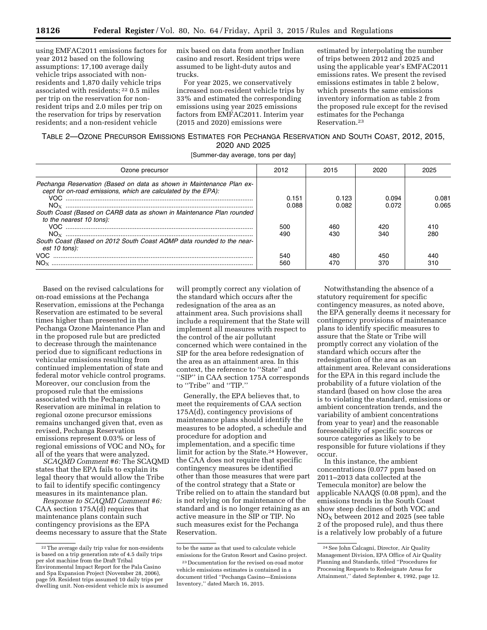using EMFAC2011 emissions factors for year 2012 based on the following assumptions: 17,100 average daily vehicle trips associated with nonresidents and 1,870 daily vehicle trips associated with residents; 22 0.5 miles per trip on the reservation for nonresident trips and 2.0 miles per trip on the reservation for trips by reservation residents; and a non-resident vehicle

mix based on data from another Indian casino and resort. Resident trips were assumed to be light-duty autos and trucks.

For year 2025, we conservatively increased non-resident vehicle trips by 33% and estimated the corresponding emissions using year 2025 emissions factors from EMFAC2011. Interim year (2015 and 2020) emissions were

estimated by interpolating the number of trips between 2012 and 2025 and using the applicable year's EMFAC2011 emissions rates. We present the revised emissions estimates in table 2 below, which presents the same emissions inventory information as table 2 from the proposed rule except for the revised estimates for the Pechanga Reservation.23

# TABLE 2—OZONE PRECURSOR EMISSIONS ESTIMATES FOR PECHANGA RESERVATION AND SOUTH COAST, 2012, 2015, 2020 AND 2025

[Summer-day average, tons per day]

| Ozone precursor                                                                                                                                                                                                                           | 2012              | 2015              | 2020              | 2025           |
|-------------------------------------------------------------------------------------------------------------------------------------------------------------------------------------------------------------------------------------------|-------------------|-------------------|-------------------|----------------|
| Pechanga Reservation (Based on data as shown in Maintenance Plan ex-<br>cept for on-road emissions, which are calculated by the EPA):<br>South Coast (Based on CARB data as shown in Maintenance Plan rounded<br>to the nearest 10 tons): | 0.151<br>0.088    | 0.123<br>0.082    | 0.094<br>0.072    | 0.081<br>0.065 |
| South Coast (Based on 2012 South Coast AQMP data rounded to the near-<br>est 10 tons):<br>VOC.                                                                                                                                            | 500<br>490<br>540 | 460<br>430<br>480 | 420<br>340<br>450 | 410<br>280     |
|                                                                                                                                                                                                                                           | 560               | 470               | 370               | 310            |

Based on the revised calculations for on-road emissions at the Pechanga Reservation, emissions at the Pechanga Reservation are estimated to be several times higher than presented in the Pechanga Ozone Maintenance Plan and in the proposed rule but are predicted to decrease through the maintenance period due to significant reductions in vehicular emissions resulting from continued implementation of state and federal motor vehicle control programs. Moreover, our conclusion from the proposed rule that the emissions associated with the Pechanga Reservation are minimal in relation to regional ozone precursor emissions remains unchanged given that, even as revised, Pechanga Reservation emissions represent 0.03% or less of regional emissions of VOC and  $NO<sub>X</sub>$  for all of the years that were analyzed.

*SCAQMD Comment #6:* The SCAQMD states that the EPA fails to explain its legal theory that would allow the Tribe to fail to identify specific contingency measures in its maintenance plan.

*Response to SCAQMD Comment #6:*  CAA section 175A(d) requires that maintenance plans contain such contingency provisions as the EPA deems necessary to assure that the State

will promptly correct any violation of the standard which occurs after the redesignation of the area as an attainment area. Such provisions shall include a requirement that the State will implement all measures with respect to the control of the air pollutant concerned which were contained in the SIP for the area before redesignation of the area as an attainment area. In this context, the reference to ''State'' and ''SIP'' in CAA section 175A corresponds to ''Tribe'' and ''TIP.''

Generally, the EPA believes that, to meet the requirements of CAA section 175A(d), contingency provisions of maintenance plans should identify the measures to be adopted, a schedule and procedure for adoption and implementation, and a specific time limit for action by the State.24 However, the CAA does not require that specific contingency measures be identified other than those measures that were part of the control strategy that a State or Tribe relied on to attain the standard but is not relying on for maintenance of the standard and is no longer retaining as an active measure in the SIP or TIP. No such measures exist for the Pechanga Reservation.

Notwithstanding the absence of a statutory requirement for specific contingency measures, as noted above, the EPA generally deems it necessary for contingency provisions of maintenance plans to identify specific measures to assure that the State or Tribe will promptly correct any violation of the standard which occurs after the redesignation of the area as an attainment area. Relevant considerations for the EPA in this regard include the probability of a future violation of the standard (based on how close the area is to violating the standard, emissions or ambient concentration trends, and the variability of ambient concentrations from year to year) and the reasonable foreseeability of specific sources or source categories as likely to be responsible for future violations if they occur.

In this instance, the ambient concentrations (0.077 ppm based on 2011–2013 data collected at the Temecula monitor) are below the applicable NAAQS (0.08 ppm), and the emissions trends in the South Coast show steep declines of both VOC and  $NO<sub>x</sub>$  between 2012 and 2025 (see table 2 of the proposed rule), and thus there is a relatively low probably of a future

<sup>22</sup>The average daily trip value for non-residents is based on a trip generation rate of 4.5 daily trips per slot machine from the Draft Tribal Environmental Impact Report for the Pala Casino and Spa Expansion Project (November 28, 2006), page 59. Resident trips assumed 10 daily trips per dwelling unit. Non-resident vehicle mix is assumed

to be the same as that used to calculate vehicle emissions for the Graton Resort and Casino project.

<sup>23</sup> Documentation for the revised on-road motor vehicle emissions estimates is contained in a document titled ''Pechanga Casino—Emissions Inventory,'' dated March 16, 2015.

<sup>24</sup>See John Calcagni, Director, Air Quality Management Division, EPA Office of Air Quality Planning and Standards, titled ''Procedures for Processing Requests to Redesignate Areas for Attainment,'' dated September 4, 1992, page 12.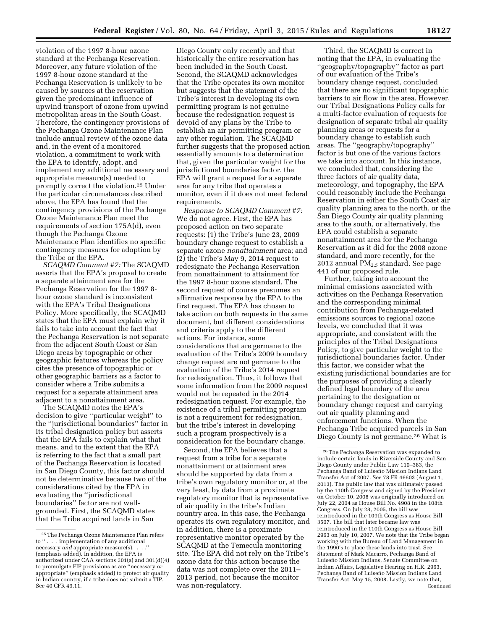violation of the 1997 8-hour ozone standard at the Pechanga Reservation. Moreover, any future violation of the 1997 8-hour ozone standard at the Pechanga Reservation is unlikely to be caused by sources at the reservation given the predominant influence of upwind transport of ozone from upwind metropolitan areas in the South Coast. Therefore, the contingency provisions of the Pechanga Ozone Maintenance Plan include annual review of the ozone data and, in the event of a monitored violation, a commitment to work with the EPA to identify, adopt, and implement any additional necessary and appropriate measure(s) needed to promptly correct the violation.25 Under the particular circumstances described above, the EPA has found that the contingency provisions of the Pechanga Ozone Maintenance Plan meet the requirements of section 175A(d), even though the Pechanga Ozone Maintenance Plan identifies no specific contingency measures for adoption by the Tribe or the EPA.

*SCAQMD Comment #7:* The SCAQMD asserts that the EPA's proposal to create a separate attainment area for the Pechanga Reservation for the 1997 8 hour ozone standard is inconsistent with the EPA's Tribal Designations Policy. More specifically, the SCAQMD states that the EPA must explain why it fails to take into account the fact that the Pechanga Reservation is not separate from the adjacent South Coast or San Diego areas by topographic or other geographic features whereas the policy cites the presence of topographic or other geographic barriers as a factor to consider where a Tribe submits a request for a separate attainment area adjacent to a nonattainment area.

The SCAQMD notes the EPA's decision to give ''particular weight'' to the ''jurisdictional boundaries'' factor in its tribal designation policy but asserts that the EPA fails to explain what that means, and to the extent that the EPA is referring to the fact that a small part of the Pechanga Reservation is located in San Diego County, this factor should not be determinative because two of the considerations cited by the EPA in evaluating the ''jurisdictional boundaries'' factor are not wellgrounded. First, the SCAQMD states that the Tribe acquired lands in San

Diego County only recently and that historically the entire reservation has been included in the South Coast. Second, the SCAQMD acknowledges that the Tribe operates its own monitor but suggests that the statement of the Tribe's interest in developing its own permitting program is not genuine because the redesignation request is devoid of any plans by the Tribe to establish an air permitting program or any other regulation. The SCAQMD further suggests that the proposed action essentially amounts to a determination that, given the particular weight for the jurisdictional boundaries factor, the EPA will grant a request for a separate area for any tribe that operates a monitor, even if it does not meet federal requirements.

*Response to SCAQMD Comment #7:*  We do not agree. First, the EPA has proposed action on two separate requests: (1) the Tribe's June 23, 2009 boundary change request to establish a separate ozone *nonattainment* area; and (2) the Tribe's May 9, 2014 request to redesignate the Pechanga Reservation from nonattainment to attainment for the 1997 8-hour ozone standard. The second request of course presumes an affirmative response by the EPA to the first request. The EPA has chosen to take action on both requests in the same document, but different considerations and criteria apply to the different actions. For instance, some considerations that are germane to the evaluation of the Tribe's 2009 boundary change request are not germane to the evaluation of the Tribe's 2014 request for redesignation. Thus, it follows that some information from the 2009 request would not be repeated in the 2014 redesignation request. For example, the existence of a tribal permitting program is not a requirement for redesignation, but the tribe's interest in developing such a program prospectively is a consideration for the boundary change.

Second, the EPA believes that a request from a tribe for a separate nonattainment or attainment area should be supported by data from a tribe's own regulatory monitor or, at the very least, by data from a proximate regulatory monitor that is representative of air quality in the tribe's Indian country area. In this case, the Pechanga operates its own regulatory monitor, and in addition, there is a proximate representative monitor operated by the SCAQMD at the Temecula monitoring site. The EPA did not rely on the Tribe's ozone data for this action because the data was not complete over the 2011– 2013 period, not because the monitor was non-regulatory.

Third, the SCAQMD is correct in noting that the EPA, in evaluating the ''geography/topography'' factor as part of our evaluation of the Tribe's boundary change request, concluded that there are no significant topographic barriers to air flow in the area. However, our Tribal Designations Policy calls for a multi-factor evaluation of requests for designation of separate tribal air quality planning areas or requests for a boundary change to establish such areas. The ''geography/topography'' factor is but one of the various factors we take into account. In this instance, we concluded that, considering the three factors of air quality data, meteorology, and topography, the EPA could reasonably include the Pechanga Reservation in either the South Coast air quality planning area to the north, or the San Diego County air quality planning area to the south, or alternatively, the EPA could establish a separate nonattainment area for the Pechanga Reservation as it did for the 2008 ozone standard, and more recently, for the 2012 annual  $PM<sub>2.5</sub>$  standard. See page 441 of our proposed rule.

Further, taking into account the minimal emissions associated with activities on the Pechanga Reservation and the corresponding minimal contribution from Pechanga-related emissions sources to regional ozone levels, we concluded that it was appropriate, and consistent with the principles of the Tribal Designations Policy, to give particular weight to the jurisdictional boundaries factor. Under this factor, we consider what the existing jurisdictional boundaries are for the purposes of providing a clearly defined legal boundary of the area pertaining to the designation or boundary change request and carrying out air quality planning and enforcement functions. When the Pechanga Tribe acquired parcels in San Diego County is not germane.26 What is

<sup>25</sup>The Pechanga Ozone Maintenance Plan refers to " $\ldots$  implementation of any additional". necessary *and* appropriate measure(s). . . .'' (emphasis added). In addition, the EPA is authorized under CAA sections 301(a) and 301(d)(4) to promulgate FIP provisions as are ''necessary *or*  appropriate'' (emphasis added) to protect air quality in Indian country, if a tribe does not submit a TIP. See 40 CFR 49.11.

<sup>26</sup>The Pechanga Reservation was expanded to include certain lands in Riverside County and San Diego County under Public Law 110–383, the Pechanga Band of Luiseño Mission Indians Land Transfer Act of 2007. See 78 FR 46603 (August 1, 2013). The public law that was ultimately passed by the 110th Congress and signed by the President on October 10, 2008 was originally introduced on July 22, 2004 as House Bill No. 4908 in the 108th Congress. On July 28, 2005, the bill was reintroduced in the 109th Congress as House Bill 3507. The bill that later became law was reintroduced in the 110th Congress as House Bill 2963 on July 10, 2007. We note that the Tribe began working with the Bureau of Land Management in the 1990's to place these lands into trust. See Statement of Mark Macarro, Pechanga Band of Luiseño Mission Indians, Senate Committee on Indian Affairs, Legislative Hearing on H.R. 2963, Pechanga Band of Luiseño Mission Indians Land Transfer Act, May 15, 2008. Lastly, we note that, Continued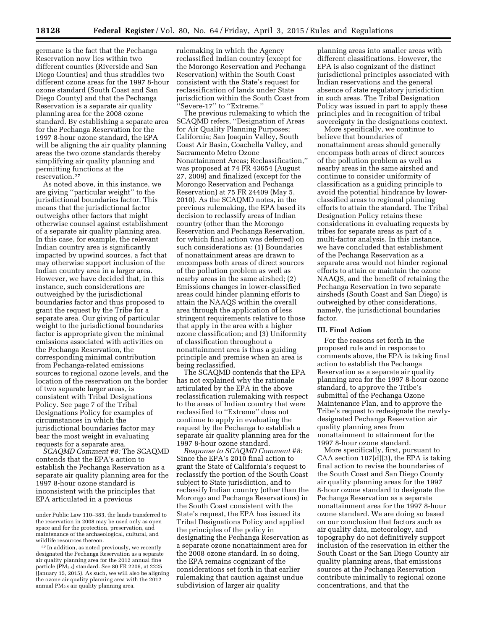germane is the fact that the Pechanga Reservation now lies within two different counties (Riverside and San Diego Counties) and thus straddles two different ozone areas for the 1997 8-hour ozone standard (South Coast and San Diego County) and that the Pechanga Reservation is a separate air quality planning area for the 2008 ozone standard. By establishing a separate area for the Pechanga Reservation for the 1997 8-hour ozone standard, the EPA will be aligning the air quality planning areas the two ozone standards thereby simplifying air quality planning and permitting functions at the reservation.27

As noted above, in this instance, we are giving ''particular weight'' to the jurisdictional boundaries factor. This means that the jurisdictional factor outweighs other factors that might otherwise counsel against establishment of a separate air quality planning area. In this case, for example, the relevant Indian country area is significantly impacted by upwind sources, a fact that may otherwise support inclusion of the Indian country area in a larger area. However, we have decided that, in this instance, such considerations are outweighed by the jurisdictional boundaries factor and thus proposed to grant the request by the Tribe for a separate area. Our giving of particular weight to the jurisdictional boundaries factor is appropriate given the minimal emissions associated with activities on the Pechanga Reservation, the corresponding minimal contribution from Pechanga-related emissions sources to regional ozone levels, and the location of the reservation on the border of two separate larger areas, is consistent with Tribal Designations Policy. See page 7 of the Tribal Designations Policy for examples of circumstances in which the jurisdictional boundaries factor may bear the most weight in evaluating requests for a separate area.

*SCAQMD Comment #8:* The SCAQMD contends that the EPA's action to establish the Pechanga Reservation as a separate air quality planning area for the 1997 8-hour ozone standard is inconsistent with the principles that EPA articulated in a previous

rulemaking in which the Agency reclassified Indian country (except for the Morongo Reservation and Pechanga Reservation) within the South Coast consistent with the State's request for reclassification of lands under State jurisdiction within the South Coast from ''Severe-17'' to ''Extreme.''

The previous rulemaking to which the SCAQMD refers, ''Designation of Areas for Air Quality Planning Purposes; California; San Joaquin Valley, South Coast Air Basin, Coachella Valley, and Sacramento Metro Ozone Nonattainment Areas; Reclassification,'' was proposed at 74 FR 43654 (August 27, 2009) and finalized (except for the Morongo Reservation and Pechanga Reservation) at 75 FR 24409 (May 5, 2010). As the SCAQMD notes, in the previous rulemaking, the EPA based its decision to reclassify areas of Indian country (other than the Morongo Reservation and Pechanga Reservation, for which final action was deferred) on such considerations as: (1) Boundaries of nonattainment areas are drawn to encompass both areas of direct sources of the pollution problem as well as nearby areas in the same airshed; (2) Emissions changes in lower-classified areas could hinder planning efforts to attain the NAAQS within the overall area through the application of less stringent requirements relative to those that apply in the area with a higher ozone classification; and (3) Uniformity of classification throughout a nonattainment area is thus a guiding principle and premise when an area is being reclassified.

The SCAQMD contends that the EPA has not explained why the rationale articulated by the EPA in the above reclassification rulemaking with respect to the areas of Indian country that were reclassified to ''Extreme'' does not continue to apply in evaluating the request by the Pechanga to establish a separate air quality planning area for the 1997 8-hour ozone standard.

*Response to SCAQMD Comment #8:*  Since the EPA's 2010 final action to grant the State of California's request to reclassify the portion of the South Coast subject to State jurisdiction, and to reclassify Indian country (other than the Morongo and Pechanga Reservations) in the South Coast consistent with the State's request, the EPA has issued its Tribal Designations Policy and applied the principles of the policy in designating the Pechanga Reservation as a separate ozone nonattainment area for the 2008 ozone standard. In so doing, the EPA remains cognizant of the considerations set forth in that earlier rulemaking that caution against undue subdivision of larger air quality

planning areas into smaller areas with different classifications. However, the EPA is also cognizant of the distinct jurisdictional principles associated with Indian reservations and the general absence of state regulatory jurisdiction in such areas. The Tribal Designation Policy was issued in part to apply these principles and in recognition of tribal sovereignty in the designations context.

More specifically, we continue to believe that boundaries of nonattainment areas should generally encompass both areas of direct sources of the pollution problem as well as nearby areas in the same airshed and continue to consider uniformity of classification as a guiding principle to avoid the potential hindrance by lowerclassified areas to regional planning efforts to attain the standard. The Tribal Designation Policy retains these considerations in evaluating requests by tribes for separate areas as part of a multi-factor analysis. In this instance, we have concluded that establishment of the Pechanga Reservation as a separate area would not hinder regional efforts to attain or maintain the ozone NAAQS, and the benefit of retaining the Pechanga Reservation in two separate airsheds (South Coast and San Diego) is outweighed by other considerations, namely, the jurisdictional boundaries factor.

#### **III. Final Action**

For the reasons set forth in the proposed rule and in response to comments above, the EPA is taking final action to establish the Pechanga Reservation as a separate air quality planning area for the 1997 8-hour ozone standard, to approve the Tribe's submittal of the Pechanga Ozone Maintenance Plan, and to approve the Tribe's request to redesignate the newlydesignated Pechanga Reservation air quality planning area from nonattainment to attainment for the 1997 8-hour ozone standard.

More specifically, first, pursuant to CAA section  $107(d)(3)$ , the EPA is taking final action to revise the boundaries of the South Coast and San Diego County air quality planning areas for the 1997 8-hour ozone standard to designate the Pechanga Reservation as a separate nonattainment area for the 1997 8-hour ozone standard. We are doing so based on our conclusion that factors such as air quality data, meteorology, and topography do not definitively support inclusion of the reservation in either the South Coast or the San Diego County air quality planning areas, that emissions sources at the Pechanga Reservation contribute minimally to regional ozone concentrations, and that the

under Public Law 110–383, the lands transferred to the reservation in 2008 may be used only as open space and for the protection, preservation, and maintenance of the archaeological, cultural, and wildlife resources thereon.

<sup>27</sup> In addition, as noted previously, we recently designated the Pechanga Reservation as a separate air quality planning area for the 2012 annual fine particle ( $\tilde{PM}_{2.5}$ ) standard. See 80 FR 2206, at 2225 (January 15, 2015). As such, we will also be aligning the ozone air quality planning area with the 2012 annual  $PM_{2.5}$  air quality planning area.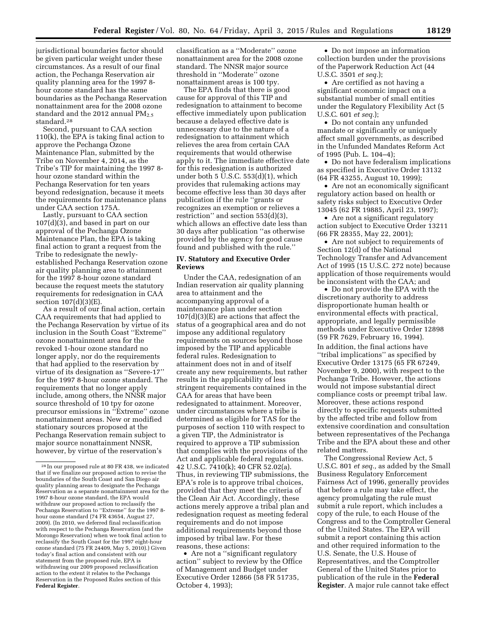jurisdictional boundaries factor should be given particular weight under these circumstances. As a result of our final action, the Pechanga Reservation air quality planning area for the 1997 8 hour ozone standard has the same boundaries as the Pechanga Reservation nonattainment area for the 2008 ozone standard and the 2012 annual  $PM_{2.5}$ standard.28

Second, pursuant to CAA section 110(k), the EPA is taking final action to approve the Pechanga Ozone Maintenance Plan, submitted by the Tribe on November 4, 2014, as the Tribe's TIP for maintaining the 1997 8 hour ozone standard within the Pechanga Reservation for ten years beyond redesignation, because it meets the requirements for maintenance plans under CAA section 175A.

Lastly, pursuant to CAA section 107(d)(3), and based in part on our approval of the Pechanga Ozone Maintenance Plan, the EPA is taking final action to grant a request from the Tribe to redesignate the newlyestablished Pechanga Reservation ozone air quality planning area to attainment for the 1997 8-hour ozone standard because the request meets the statutory requirements for redesignation in CAA section 107(d)(3)(E).

As a result of our final action, certain CAA requirements that had applied to the Pechanga Reservation by virtue of its inclusion in the South Coast ''Extreme'' ozone nonattainment area for the revoked 1-hour ozone standard no longer apply, nor do the requirements that had applied to the reservation by virtue of its designation as ''Severe-17'' for the 1997 8-hour ozone standard. The requirements that no longer apply include, among others, the NNSR major source threshold of 10 tpy for ozone precursor emissions in ''Extreme'' ozone nonattainment areas. New or modified stationary sources proposed at the Pechanga Reservation remain subject to major source nonattainment NNSR, however, by virtue of the reservation's

classification as a ''Moderate'' ozone nonattainment area for the 2008 ozone standard. The NNSR major source threshold in ''Moderate'' ozone nonattainment areas is 100 tpy.

The EPA finds that there is good cause for approval of this TIP and redesignation to attainment to become effective immediately upon publication because a delayed effective date is unnecessary due to the nature of a redesignation to attainment which relieves the area from certain CAA requirements that would otherwise apply to it. The immediate effective date for this redesignation is authorized under both 5 U.S.C. 553(d)(1), which provides that rulemaking actions may become effective less than 30 days after publication if the rule ''grants or recognizes an exemption or relieves a restriction'' and section 553(d)(3), which allows an effective date less than 30 days after publication ''as otherwise provided by the agency for good cause found and published with the rule.''

#### **IV. Statutory and Executive Order Reviews**

Under the CAA, redesignation of an Indian reservation air quality planning area to attainment and the accompanying approval of a maintenance plan under section  $107(d)(3)(E)$  are actions that affect the status of a geographical area and do not impose any additional regulatory requirements on sources beyond those imposed by the TIP and applicable federal rules. Redesignation to attainment does not in and of itself create any new requirements, but rather results in the applicability of less stringent requirements contained in the CAA for areas that have been redesignated to attainment. Moreover, under circumstances where a tribe is determined as eligible for TAS for the purposes of section 110 with respect to a given TIP, the Administrator is required to approve a TIP submission that complies with the provisions of the Act and applicable federal regulations. 42 U.S.C. 7410(k); 40 CFR 52.02(a). Thus, in reviewing TIP submissions, the EPA's role is to approve tribal choices, provided that they meet the criteria of the Clean Air Act. Accordingly, these actions merely approve a tribal plan and redesignation request as meeting federal requirements and do not impose additional requirements beyond those imposed by tribal law. For these reasons, these actions:

• Are not a "significant regulatory action'' subject to review by the Office of Management and Budget under Executive Order 12866 (58 FR 51735, October 4, 1993);

• Do not impose an information collection burden under the provisions of the Paperwork Reduction Act (44 U.S.C. 3501 *et seq.*);

• Are certified as not having a significant economic impact on a substantial number of small entities under the Regulatory Flexibility Act (5 U.S.C. 601 *et seq.*);

• Do not contain any unfunded mandate or significantly or uniquely affect small governments, as described in the Unfunded Mandates Reform Act of 1995 (Pub. L. 104–4);

• Do not have federalism implications as specified in Executive Order 13132 (64 FR 43255, August 10, 1999);

• Are not an economically significant regulatory action based on health or safety risks subject to Executive Order 13045 (62 FR 19885, April 23, 1997);

• Are not a significant regulatory action subject to Executive Order 13211 (66 FR 28355, May 22, 2001);

• Are not subject to requirements of Section 12(d) of the National Technology Transfer and Advancement Act of 1995 (15 U.S.C. 272 note) because application of those requirements would be inconsistent with the CAA; and

• Do not provide the EPA with the discretionary authority to address disproportionate human health or environmental effects with practical, appropriate, and legally permissible methods under Executive Order 12898 (59 FR 7629, February 16, 1994). In addition, the final actions have ''tribal implications'' as specified by Executive Order 13175 (65 FR 67249, November 9, 2000), with respect to the Pechanga Tribe. However, the actions would not impose substantial direct compliance costs or preempt tribal law. Moreover, these actions respond directly to specific requests submitted by the affected tribe and follow from extensive coordination and consultation between representatives of the Pechanga Tribe and the EPA about these and other related matters.

The Congressional Review Act, 5 U.S.C. 801 *et seq.,* as added by the Small Business Regulatory Enforcement Fairness Act of 1996, generally provides that before a rule may take effect, the agency promulgating the rule must submit a rule report, which includes a copy of the rule, to each House of the Congress and to the Comptroller General of the United States. The EPA will submit a report containing this action and other required information to the U.S. Senate, the U.S. House of Representatives, and the Comptroller General of the United States prior to publication of the rule in the **Federal Register**. A major rule cannot take effect

<sup>28</sup> In our proposed rule at 80 FR 438, we indicated that if we finalize our proposed action to revise the boundaries of the South Coast and San Diego air quality planning areas to designate the Pechanga Reservation as a separate nonattainment area for the 1997 8-hour ozone standard, the EPA would withdraw our proposed action to reclassify the Pechanga Reservation to ''Extreme'' for the 1997 8 hour ozone standard (74 FR 43654, August 27, 2009). (In 2010, we deferred final reclassification with respect to the Pechanga Reservation (and the Morongo Reservation) when we took final action to reclassify the South Coast for the 1997 eight-hour ozone standard (75 FR 24409, May 5, 2010).) Given today's final action and consistent with our statement from the proposed rule, EPA is withdrawing our 2009 proposed reclassification action to the extent it relates to the Pechanga Reservation in the Proposed Rules section of this **Federal Register**.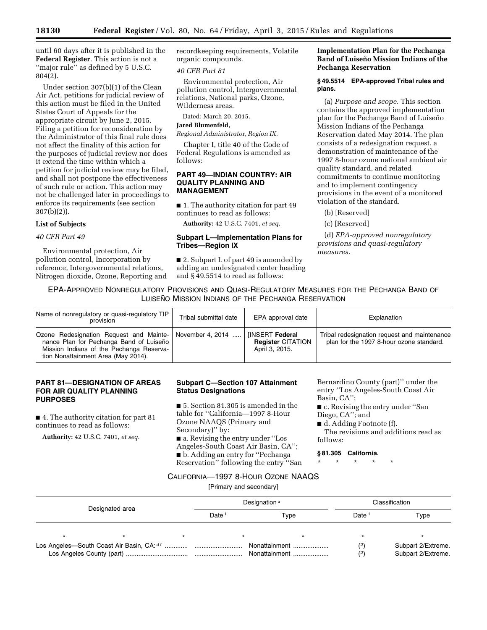until 60 days after it is published in the **Federal Register**. This action is not a "major rule" as defined by 5 U.S.C. 804(2).

Under section 307(b)(1) of the Clean Air Act, petitions for judicial review of this action must be filed in the United States Court of Appeals for the appropriate circuit by June 2, 2015. Filing a petition for reconsideration by the Administrator of this final rule does not affect the finality of this action for the purposes of judicial review nor does it extend the time within which a petition for judicial review may be filed, and shall not postpone the effectiveness of such rule or action. This action may not be challenged later in proceedings to enforce its requirements (see section 307(b)(2)).

## **List of Subjects**

*40 CFR Part 49* 

Environmental protection, Air pollution control, Incorporation by reference, Intergovernmental relations, Nitrogen dioxide, Ozone, Reporting and recordkeeping requirements, Volatile organic compounds.

#### *40 CFR Part 81*

Environmental protection, Air pollution control, Intergovernmental relations, National parks, Ozone, Wilderness areas.

Dated: March 20, 2015.

### **Jared Blumenfeld,**

*Regional Administrator, Region IX.* 

Chapter I, title 40 of the Code of Federal Regulations is amended as follows:

## **PART 49—INDIAN COUNTRY: AIR QUALITY PLANNING AND MANAGEMENT**

■ 1. The authority citation for part 49 continues to read as follows:

**Authority:** 42 U.S.C. 7401, *et seq.* 

#### **Subpart L—Implementation Plans for Tribes—Region IX**

■ 2. Subpart L of part 49 is amended by adding an undesignated center heading and § 49.5514 to read as follows:

## **Implementation Plan for the Pechanga Band of Luiseño Mission Indians of the Pechanga Reservation**

#### **§ 49.5514 EPA-approved Tribal rules and plans.**

(a) *Purpose and scope.* This section contains the approved implementation plan for the Pechanga Band of Luiseño Mission Indians of the Pechanga Reservation dated May 2014. The plan consists of a redesignation request, a demonstration of maintenance of the 1997 8-hour ozone national ambient air quality standard, and related commitments to continue monitoring and to implement contingency provisions in the event of a monitored violation of the standard.

(b) [Reserved]

(c) [Reserved]

(d) *EPA-approved nonregulatory provisions and quasi-regulatory measures.* 

# EPA-APPROVED NONREGULATORY PROVISIONS AND QUASI-REGULATORY MEASURES FOR THE PECHANGA BAND OF LUISEÑO MISSION INDIANS OF THE PECHANGA RESERVATION

| Name of nonregulatory or quasi-regulatory TIP<br>provision                                                                                                                             | Tribal submittal date | EPA approval date                                                    | Explanation                                                                              |
|----------------------------------------------------------------------------------------------------------------------------------------------------------------------------------------|-----------------------|----------------------------------------------------------------------|------------------------------------------------------------------------------------------|
| Ozone Redesignation Request and Mainte- November 4, 2014<br>nance Plan for Pechanga Band of Luiseño<br>Mission Indians of the Pechanga Reserva-<br>tion Nonattainment Area (May 2014). |                       | <b>IINSERT Federal</b><br><b>Register CITATION</b><br>April 3, 2015. | Tribal redesignation request and maintenance<br>plan for the 1997 8-hour ozone standard. |

## **PART 81—DESIGNATION OF AREAS FOR AIR QUALITY PLANNING PURPOSES**

■ 4. The authority citation for part 81 continues to read as follows:

**Authority:** 42 U.S.C. 7401, *et seq.* 

## **Subpart C—Section 107 Attainment Status Designations**

■ 5. Section 81.305 is amended in the table for ''California—1997 8-Hour Ozone NAAQS (Primary and Secondary)'' by:

■ a. Revising the entry under "Los Angeles-South Coast Air Basin, CA''; ■ b. Adding an entry for "Pechanga Reservation'' following the entry ''San Bernardino County (part)'' under the entry ''Los Angeles-South Coast Air Basin, CA'';

■ c. Revising the entry under "San Diego, CA''; and

■ d. Adding Footnote (f).

The revisions and additions read as follows:

#### **§ 81.305 California.**

\* \* \* \* \*

## CALIFORNIA—1997 8-HOUR OZONE NAAQS

[Primary and secondary]

| Designated area |  | Designation <sup>a</sup> |      | Classification    |            |                                          |
|-----------------|--|--------------------------|------|-------------------|------------|------------------------------------------|
|                 |  | Date                     | Type | Date <sup>:</sup> | Type       |                                          |
|                 |  |                          |      |                   |            |                                          |
|                 |  |                          |      |                   | (2)<br>(2) | Subpart 2/Extreme.<br>Subpart 2/Extreme. |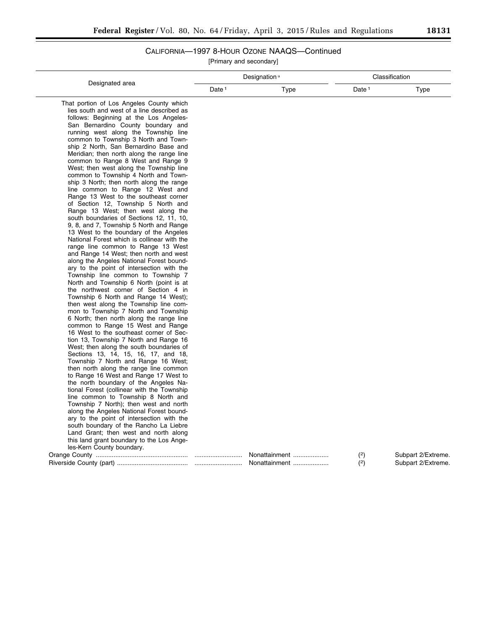# CALIFORNIA—1997 8-HOUR OZONE NAAQS—Continued

[Primary and secondary]

|                                                                                 | Designation <sup>a</sup> |               | Classification    |                    |
|---------------------------------------------------------------------------------|--------------------------|---------------|-------------------|--------------------|
| Designated area                                                                 | Date <sup>1</sup>        | <b>Type</b>   | Date <sup>1</sup> | Type               |
| That portion of Los Angeles County which                                        |                          |               |                   |                    |
| lies south and west of a line described as                                      |                          |               |                   |                    |
| follows: Beginning at the Los Angeles-                                          |                          |               |                   |                    |
| San Bernardino County boundary and                                              |                          |               |                   |                    |
| running west along the Township line                                            |                          |               |                   |                    |
| common to Township 3 North and Town-                                            |                          |               |                   |                    |
| ship 2 North, San Bernardino Base and                                           |                          |               |                   |                    |
| Meridian; then north along the range line                                       |                          |               |                   |                    |
| common to Range 8 West and Range 9                                              |                          |               |                   |                    |
| West; then west along the Township line                                         |                          |               |                   |                    |
| common to Township 4 North and Town-                                            |                          |               |                   |                    |
| ship 3 North; then north along the range                                        |                          |               |                   |                    |
| line common to Range 12 West and                                                |                          |               |                   |                    |
| Range 13 West to the southeast corner                                           |                          |               |                   |                    |
| of Section 12, Township 5 North and                                             |                          |               |                   |                    |
| Range 13 West; then west along the                                              |                          |               |                   |                    |
| south boundaries of Sections 12, 11, 10,                                        |                          |               |                   |                    |
| 9, 8, and 7, Township 5 North and Range                                         |                          |               |                   |                    |
| 13 West to the boundary of the Angeles                                          |                          |               |                   |                    |
| National Forest which is collinear with the                                     |                          |               |                   |                    |
| range line common to Range 13 West                                              |                          |               |                   |                    |
| and Range 14 West; then north and west                                          |                          |               |                   |                    |
| along the Angeles National Forest bound-                                        |                          |               |                   |                    |
| ary to the point of intersection with the<br>Township line common to Township 7 |                          |               |                   |                    |
| North and Township 6 North (point is at                                         |                          |               |                   |                    |
| the northwest corner of Section 4 in                                            |                          |               |                   |                    |
| Township 6 North and Range 14 West);                                            |                          |               |                   |                    |
| then west along the Township line com-                                          |                          |               |                   |                    |
| mon to Township 7 North and Township                                            |                          |               |                   |                    |
| 6 North; then north along the range line                                        |                          |               |                   |                    |
| common to Range 15 West and Range                                               |                          |               |                   |                    |
| 16 West to the southeast corner of Sec-                                         |                          |               |                   |                    |
| tion 13, Township 7 North and Range 16                                          |                          |               |                   |                    |
| West; then along the south boundaries of                                        |                          |               |                   |                    |
| Sections 13, 14, 15, 16, 17, and 18,                                            |                          |               |                   |                    |
| Township 7 North and Range 16 West;                                             |                          |               |                   |                    |
| then north along the range line common                                          |                          |               |                   |                    |
| to Range 16 West and Range 17 West to                                           |                          |               |                   |                    |
| the north boundary of the Angeles Na-                                           |                          |               |                   |                    |
| tional Forest (collinear with the Township                                      |                          |               |                   |                    |
| line common to Township 8 North and                                             |                          |               |                   |                    |
| Township 7 North); then west and north                                          |                          |               |                   |                    |
| along the Angeles National Forest bound-                                        |                          |               |                   |                    |
| ary to the point of intersection with the                                       |                          |               |                   |                    |
| south boundary of the Rancho La Liebre                                          |                          |               |                   |                    |
| Land Grant; then west and north along                                           |                          |               |                   |                    |
| this land grant boundary to the Los Ange-                                       |                          |               |                   |                    |
| les-Kern County boundary.                                                       |                          |               |                   |                    |
|                                                                                 |                          | Nonattainment | (2)               | Subpart 2/Extreme. |
|                                                                                 |                          | Nonattainment | (2)               | Subpart 2/Extreme. |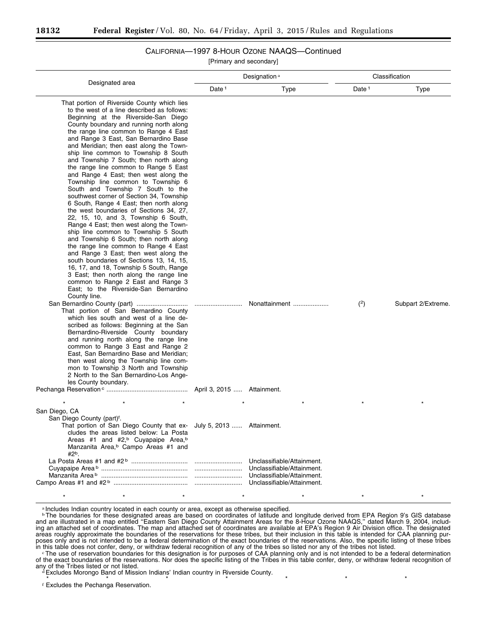# CALIFORNIA—1997 8-HOUR OZONE NAAQS—Continued

[Primary and secondary]

|                                                                                                                                                                                                                                                                                                                                                                                                                                                                                                                                                                                                                                                                                                                                                                                                                                                                                                                                                                                                                                                                                                                                                                                     | Designation <sup>a</sup>   |               | Classification    |                    |
|-------------------------------------------------------------------------------------------------------------------------------------------------------------------------------------------------------------------------------------------------------------------------------------------------------------------------------------------------------------------------------------------------------------------------------------------------------------------------------------------------------------------------------------------------------------------------------------------------------------------------------------------------------------------------------------------------------------------------------------------------------------------------------------------------------------------------------------------------------------------------------------------------------------------------------------------------------------------------------------------------------------------------------------------------------------------------------------------------------------------------------------------------------------------------------------|----------------------------|---------------|-------------------|--------------------|
| Designated area                                                                                                                                                                                                                                                                                                                                                                                                                                                                                                                                                                                                                                                                                                                                                                                                                                                                                                                                                                                                                                                                                                                                                                     | Date <sup>1</sup>          | Type          | Date <sup>1</sup> | <b>Type</b>        |
| That portion of Riverside County which lies<br>to the west of a line described as follows:<br>Beginning at the Riverside-San Diego<br>County boundary and running north along<br>the range line common to Range 4 East<br>and Range 3 East, San Bernardino Base<br>and Meridian; then east along the Town-<br>ship line common to Township 8 South<br>and Township 7 South; then north along<br>the range line common to Range 5 East<br>and Range 4 East; then west along the<br>Township line common to Township 6<br>South and Township 7 South to the<br>southwest corner of Section 34, Township<br>6 South, Range 4 East; then north along<br>the west boundaries of Sections 34, 27,<br>22, 15, 10, and 3, Township 6 South,<br>Range 4 East; then west along the Town-<br>ship line common to Township 5 South<br>and Township 6 South; then north along<br>the range line common to Range 4 East<br>and Range 3 East; then west along the<br>south boundaries of Sections 13, 14, 15,<br>16, 17, and 18, Township 5 South, Range<br>3 East; then north along the range line<br>common to Range 2 East and Range 3<br>East; to the Riverside-San Bernardino<br>County line. |                            |               |                   |                    |
| San Bernardino County (part)<br>That portion of San Bernardino County<br>which lies south and west of a line de-<br>scribed as follows: Beginning at the San<br>Bernardino-Riverside County boundary<br>and running north along the range line<br>common to Range 3 East and Range 2<br>East, San Bernardino Base and Meridian;<br>then west along the Township line com-<br>mon to Township 3 North and Township<br>2 North to the San Bernardino-Los Ange-<br>les County boundary.                                                                                                                                                                                                                                                                                                                                                                                                                                                                                                                                                                                                                                                                                                |                            | Nonattainment | (2)               | Subpart 2/Extreme. |
|                                                                                                                                                                                                                                                                                                                                                                                                                                                                                                                                                                                                                                                                                                                                                                                                                                                                                                                                                                                                                                                                                                                                                                                     | April 3, 2015  Attainment. |               |                   |                    |
| San Diego, CA<br>San Diego County (part) <sup>f</sup> .<br>That portion of San Diego County that ex- July 5, 2013  Attainment.<br>cludes the areas listed below: La Posta<br>Areas #1 and #2, <sup>b</sup> Cuyapaipe Area, <sup>b</sup><br>Manzanita Area, <sup>b</sup> Campo Areas #1 and<br>$#2b$ .                                                                                                                                                                                                                                                                                                                                                                                                                                                                                                                                                                                                                                                                                                                                                                                                                                                                               |                            |               |                   |                    |
|                                                                                                                                                                                                                                                                                                                                                                                                                                                                                                                                                                                                                                                                                                                                                                                                                                                                                                                                                                                                                                                                                                                                                                                     |                            |               |                   |                    |

a Includes Indian country located in each county or area, except as otherwise specified.

**bThe boundaries for these designated areas are based on coordinates of latitude and longitude derived from EPA Region 9's GIS database** and are illustrated in a map entitled ''Eastern San Diego County Attainment Areas for the 8-Hour Ozone NAAQS,'' dated March 9, 2004, including an attached set of coordinates. The map and attached set of coordinates are available at EPA's Region 9 Air Division office. The designated areas roughly approximate the boundaries of the reservations for these tribes, but their inclusion in this table is intended for CAA planning purposes only and is not intended to be a federal determination of the exact boundaries of the reservations. Also, the specific listing of these tribes in this table does not confer, deny, or withdraw federal recognition of any of the tribes so listed nor any of the tribes not listed.<br>The use of reservation boundaries for this designation is for purposes of CAA planning o

\* \* \* \* \* \* \* \* \* \* \* \* \* \* \*

of the exact boundaries of the reservations. Nor does the specific listing of the Tribes in this table confer, deny, or withdraw federal recognition of<br>any of the Tribes listed or not listed.

d Excludes Morongo Band of Mission Indians' Indian country in Riverside County.

\* \* \* \* \* \* \* f Excludes the Pechanga Reservation.